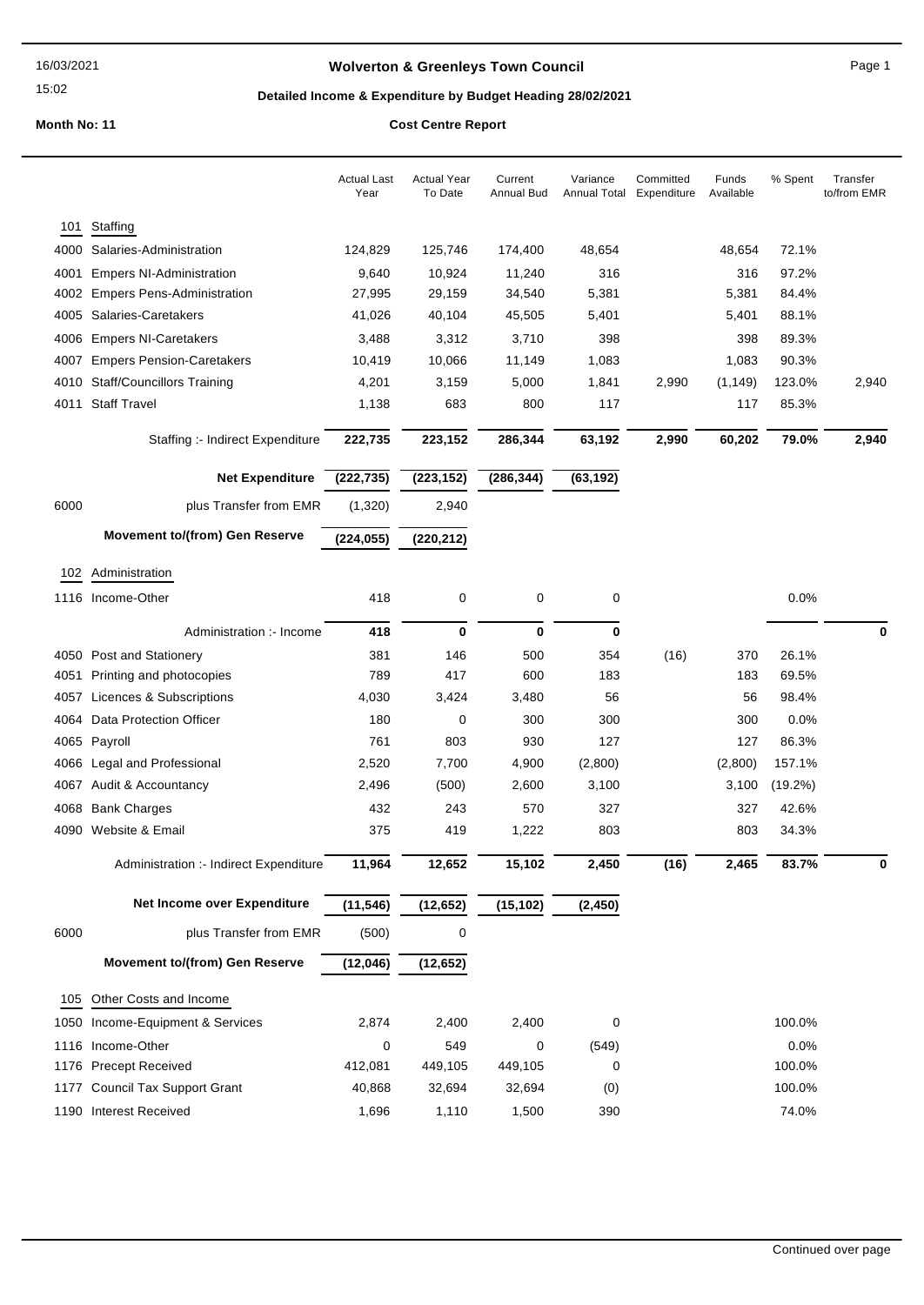## **Wolverton & Greenleys Town Council Page 1** Page 1

## **Detailed Income & Expenditure by Budget Heading 28/02/2021**

|      |                                        | <b>Actual Last</b><br>Year | <b>Actual Year</b><br>To Date | Current<br>Annual Bud | Variance<br>Annual Total | Committed<br>Expenditure | Funds<br>Available | % Spent    | Transfer<br>to/from EMR |
|------|----------------------------------------|----------------------------|-------------------------------|-----------------------|--------------------------|--------------------------|--------------------|------------|-------------------------|
| 101  | Staffing                               |                            |                               |                       |                          |                          |                    |            |                         |
| 4000 | Salaries-Administration                | 124,829                    | 125,746                       | 174,400               | 48,654                   |                          | 48,654             | 72.1%      |                         |
| 4001 | <b>Empers NI-Administration</b>        | 9,640                      | 10,924                        | 11,240                | 316                      |                          | 316                | 97.2%      |                         |
| 4002 | <b>Empers Pens-Administration</b>      | 27,995                     | 29,159                        | 34,540                | 5,381                    |                          | 5,381              | 84.4%      |                         |
| 4005 | Salaries-Caretakers                    | 41,026                     | 40,104                        | 45,505                | 5,401                    |                          | 5,401              | 88.1%      |                         |
| 4006 | <b>Empers NI-Caretakers</b>            | 3,488                      | 3,312                         | 3,710                 | 398                      |                          | 398                | 89.3%      |                         |
| 4007 | <b>Empers Pension-Caretakers</b>       | 10,419                     | 10,066                        | 11,149                | 1,083                    |                          | 1,083              | 90.3%      |                         |
| 4010 | <b>Staff/Councillors Training</b>      | 4,201                      | 3,159                         | 5,000                 | 1,841                    | 2,990                    | (1, 149)           | 123.0%     | 2,940                   |
| 4011 | <b>Staff Travel</b>                    | 1,138                      | 683                           | 800                   | 117                      |                          | 117                | 85.3%      |                         |
|      | Staffing :- Indirect Expenditure       | 222,735                    | 223,152                       | 286,344               | 63,192                   | 2,990                    | 60,202             | 79.0%      | 2,940                   |
|      | <b>Net Expenditure</b>                 | (222, 735)                 | (223, 152)                    | (286, 344)            | (63, 192)                |                          |                    |            |                         |
| 6000 | plus Transfer from EMR                 | (1,320)                    | 2,940                         |                       |                          |                          |                    |            |                         |
|      | <b>Movement to/(from) Gen Reserve</b>  | (224, 055)                 | (220, 212)                    |                       |                          |                          |                    |            |                         |
|      | 102 Administration                     |                            |                               |                       |                          |                          |                    |            |                         |
|      | 1116 Income-Other                      | 418                        | 0                             | 0                     | 0                        |                          |                    | 0.0%       |                         |
|      |                                        |                            |                               |                       |                          |                          |                    |            |                         |
|      | Administration :- Income               | 418                        | $\bf{0}$                      | $\bf{0}$              | $\bf{0}$                 |                          |                    |            | 0                       |
|      | 4050 Post and Stationery               | 381                        | 146                           | 500                   | 354                      | (16)                     | 370                | 26.1%      |                         |
| 4051 | Printing and photocopies               | 789                        | 417                           | 600                   | 183                      |                          | 183                | 69.5%      |                         |
| 4057 | Licences & Subscriptions               | 4,030                      | 3,424                         | 3,480                 | 56                       |                          | 56                 | 98.4%      |                         |
| 4064 | Data Protection Officer                | 180                        | 0                             | 300                   | 300                      |                          | 300                | 0.0%       |                         |
|      | 4065 Payroll                           | 761                        | 803                           | 930                   | 127                      |                          | 127                | 86.3%      |                         |
|      | 4066 Legal and Professional            | 2,520                      | 7,700                         | 4,900                 | (2,800)                  |                          | (2,800)            | 157.1%     |                         |
|      | 4067 Audit & Accountancy               | 2,496                      | (500)                         | 2,600                 | 3,100                    |                          | 3,100              | $(19.2\%)$ |                         |
|      | 4068 Bank Charges                      | 432                        | 243                           | 570                   | 327                      |                          | 327                | 42.6%      |                         |
|      | 4090 Website & Email                   | 375                        | 419                           | 1,222                 | 803                      |                          | 803                | 34.3%      |                         |
|      | Administration :- Indirect Expenditure | 11,964                     | 12,652                        | 15,102                | 2,450                    | (16)                     | 2,465              | 83.7%      |                         |
|      | Net Income over Expenditure            | (11, 546)                  | (12, 652)                     | (15, 102)             | (2, 450)                 |                          |                    |            |                         |
| 6000 | plus Transfer from EMR                 | (500)                      | $\mathbf 0$                   |                       |                          |                          |                    |            |                         |
|      | <b>Movement to/(from) Gen Reserve</b>  | (12,046)                   | (12, 652)                     |                       |                          |                          |                    |            |                         |
| 105  | Other Costs and Income                 |                            |                               |                       |                          |                          |                    |            |                         |
| 1050 | Income-Equipment & Services            | 2,874                      | 2,400                         | 2,400                 | 0                        |                          |                    | 100.0%     |                         |
|      | 1116 Income-Other                      | 0                          | 549                           | 0                     | (549)                    |                          |                    | 0.0%       |                         |
|      | 1176 Precept Received                  | 412,081                    | 449,105                       | 449,105               | 0                        |                          |                    | 100.0%     |                         |
|      | 1177 Council Tax Support Grant         | 40,868                     | 32,694                        | 32,694                | (0)                      |                          |                    | 100.0%     |                         |
|      | 1190 Interest Received                 | 1,696                      | 1,110                         | 1,500                 | 390                      |                          |                    | 74.0%      |                         |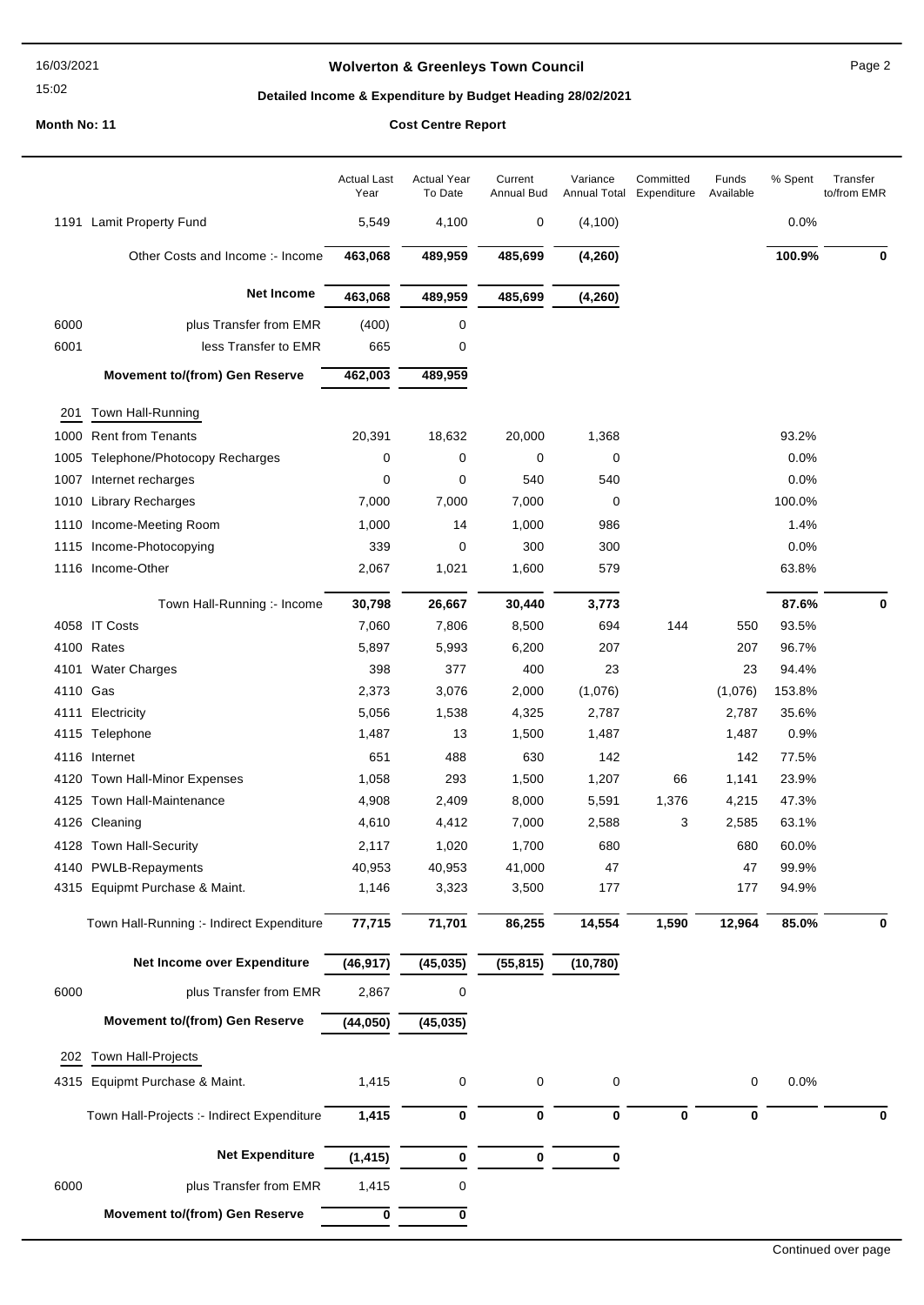#### 16/03/2021

15:02

## **Wolverton & Greenleys Town Council** Magness Council Page 2

## **Detailed Income & Expenditure by Budget Heading 28/02/2021**

|          |                                            | <b>Actual Last</b><br>Year | <b>Actual Year</b><br>To Date | Current<br>Annual Bud | Variance<br>Annual Total | Committed<br>Expenditure | Funds<br>Available | % Spent | Transfer<br>to/from EMR |
|----------|--------------------------------------------|----------------------------|-------------------------------|-----------------------|--------------------------|--------------------------|--------------------|---------|-------------------------|
|          | 1191 Lamit Property Fund                   | 5,549                      | 4,100                         | 0                     | (4, 100)                 |                          |                    | 0.0%    |                         |
|          | Other Costs and Income :- Income           | 463,068                    | 489,959                       | 485,699               | (4, 260)                 |                          |                    | 100.9%  | 0                       |
|          | <b>Net Income</b>                          | 463,068                    | 489,959                       | 485,699               | (4, 260)                 |                          |                    |         |                         |
| 6000     | plus Transfer from EMR                     | (400)                      | 0                             |                       |                          |                          |                    |         |                         |
| 6001     | less Transfer to EMR                       | 665                        | 0                             |                       |                          |                          |                    |         |                         |
|          | <b>Movement to/(from) Gen Reserve</b>      | 462,003                    | 489,959                       |                       |                          |                          |                    |         |                         |
| 201      | Town Hall-Running                          |                            |                               |                       |                          |                          |                    |         |                         |
| 1000     | <b>Rent from Tenants</b>                   | 20,391                     | 18,632                        | 20,000                | 1,368                    |                          |                    | 93.2%   |                         |
| 1005     | Telephone/Photocopy Recharges              | 0                          | 0                             | 0                     | 0                        |                          |                    | 0.0%    |                         |
| 1007     | Internet recharges                         | 0                          | 0                             | 540                   | 540                      |                          |                    | 0.0%    |                         |
| 1010     | <b>Library Recharges</b>                   | 7,000                      | 7,000                         | 7,000                 | 0                        |                          |                    | 100.0%  |                         |
| 1110     | Income-Meeting Room                        | 1,000                      | 14                            | 1,000                 | 986                      |                          |                    | 1.4%    |                         |
| 1115     | Income-Photocopying                        | 339                        | 0                             | 300                   | 300                      |                          |                    | 0.0%    |                         |
|          | 1116 Income-Other                          | 2,067                      | 1,021                         | 1,600                 | 579                      |                          |                    | 63.8%   |                         |
|          | Town Hall-Running :- Income                | 30,798                     | 26,667                        | 30,440                | 3,773                    |                          |                    | 87.6%   | 0                       |
|          | 4058 IT Costs                              | 7,060                      | 7,806                         | 8,500                 | 694                      | 144                      | 550                | 93.5%   |                         |
|          | 4100 Rates                                 | 5,897                      | 5,993                         | 6,200                 | 207                      |                          | 207                | 96.7%   |                         |
|          | 4101 Water Charges                         | 398                        | 377                           | 400                   | 23                       |                          | 23                 | 94.4%   |                         |
| 4110 Gas |                                            | 2,373                      | 3,076                         | 2,000                 | (1,076)                  |                          | (1,076)            | 153.8%  |                         |
| 4111     | Electricity                                | 5,056                      | 1,538                         | 4,325                 | 2,787                    |                          | 2,787              | 35.6%   |                         |
|          | 4115 Telephone                             | 1,487                      | 13                            | 1,500                 | 1,487                    |                          | 1,487              | 0.9%    |                         |
| 4116     | Internet                                   | 651                        | 488                           | 630                   | 142                      |                          | 142                | 77.5%   |                         |
|          | 4120 Town Hall-Minor Expenses              | 1,058                      | 293                           | 1,500                 | 1,207                    | 66                       | 1,141              | 23.9%   |                         |
|          | 4125 Town Hall-Maintenance                 | 4,908                      | 2,409                         | 8,000                 | 5,591                    | 1,376                    | 4,215              | 47.3%   |                         |
|          | 4126 Cleaning                              | 4,610                      | 4,412                         | 7,000                 | 2,588                    | 3                        | 2,585              | 63.1%   |                         |
|          | 4128 Town Hall-Security                    | 2,117                      | 1,020                         | 1,700                 | 680                      |                          | 680                | 60.0%   |                         |
|          | 4140 PWLB-Repayments                       | 40,953                     | 40,953                        | 41,000                | 47                       |                          | 47                 | 99.9%   |                         |
| 4315     | Equipmt Purchase & Maint.                  | 1,146                      | 3,323                         | 3,500                 | 177                      |                          | 177                | 94.9%   |                         |
|          | Town Hall-Running :- Indirect Expenditure  | 77,715                     | 71,701                        | 86,255                | 14,554                   | 1,590                    | 12,964             | 85.0%   | $\mathbf 0$             |
|          | Net Income over Expenditure                | (46, 917)                  | (45, 035)                     | (55, 815)             | (10, 780)                |                          |                    |         |                         |
| 6000     | plus Transfer from EMR                     | 2,867                      | 0                             |                       |                          |                          |                    |         |                         |
|          | <b>Movement to/(from) Gen Reserve</b>      | (44, 050)                  | (45, 035)                     |                       |                          |                          |                    |         |                         |
| 202      | Town Hall-Projects                         |                            |                               |                       |                          |                          |                    |         |                         |
| 4315     | Equipmt Purchase & Maint.                  | 1,415                      | 0                             | 0                     | 0                        |                          | $\pmb{0}$          | 0.0%    |                         |
|          | Town Hall-Projects :- Indirect Expenditure | 1,415                      | 0                             | 0                     | 0                        | 0                        | 0                  |         | 0                       |
|          | <b>Net Expenditure</b>                     |                            | 0                             | $\bf{0}$              | 0                        |                          |                    |         |                         |
| 6000     | plus Transfer from EMR                     | (1, 415)<br>1,415          | 0                             |                       |                          |                          |                    |         |                         |
|          | <b>Movement to/(from) Gen Reserve</b>      | 0                          | 0                             |                       |                          |                          |                    |         |                         |
|          |                                            |                            |                               |                       |                          |                          |                    |         |                         |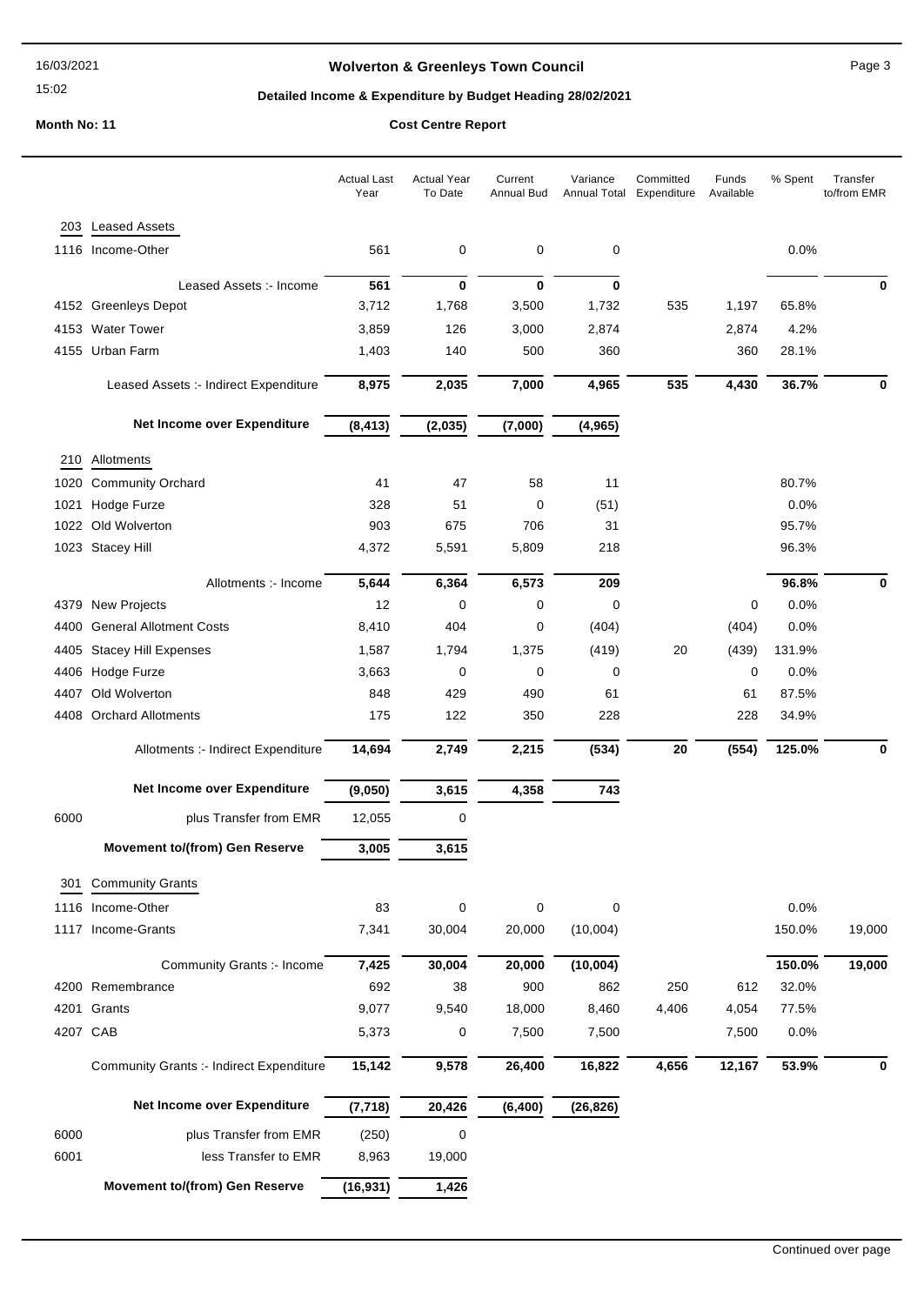## **Wolverton & Greenleys Town Council** Magness Council Page 3

## **Detailed Income & Expenditure by Budget Heading 28/02/2021**

|      |                                                 | <b>Actual Last</b><br>Year | <b>Actual Year</b><br>To Date | Current<br>Annual Bud | Variance<br>Annual Total | Committed<br>Expenditure | Funds<br>Available | % Spent | Transfer<br>to/from EMR |
|------|-------------------------------------------------|----------------------------|-------------------------------|-----------------------|--------------------------|--------------------------|--------------------|---------|-------------------------|
| 203  | <b>Leased Assets</b>                            |                            |                               |                       |                          |                          |                    |         |                         |
|      | 1116 Income-Other                               | 561                        | 0                             | 0                     | 0                        |                          |                    | 0.0%    |                         |
|      | Leased Assets :- Income                         | 561                        | 0                             | $\mathbf 0$           | $\bf{0}$                 |                          |                    |         | 0                       |
|      | 4152 Greenleys Depot                            | 3,712                      | 1,768                         | 3,500                 | 1,732                    | 535                      | 1,197              | 65.8%   |                         |
|      | 4153 Water Tower                                | 3,859                      | 126                           | 3,000                 | 2,874                    |                          | 2,874              | 4.2%    |                         |
|      | 4155 Urban Farm                                 | 1,403                      | 140                           | 500                   | 360                      |                          | 360                | 28.1%   |                         |
|      | Leased Assets :- Indirect Expenditure           | 8,975                      | 2,035                         | 7,000                 | 4,965                    | 535                      | 4,430              | 36.7%   | 0                       |
|      | Net Income over Expenditure                     | (8, 413)                   | (2,035)                       | (7,000)               | (4, 965)                 |                          |                    |         |                         |
| 210  | Allotments                                      |                            |                               |                       |                          |                          |                    |         |                         |
| 1020 | <b>Community Orchard</b>                        | 41                         | 47                            | 58                    | 11                       |                          |                    | 80.7%   |                         |
| 1021 | Hodge Furze                                     | 328                        | 51                            | 0                     | (51)                     |                          |                    | 0.0%    |                         |
| 1022 | Old Wolverton                                   | 903                        | 675                           | 706                   | 31                       |                          |                    | 95.7%   |                         |
|      | 1023 Stacey Hill                                | 4,372                      | 5,591                         | 5,809                 | 218                      |                          |                    | 96.3%   |                         |
|      | Allotments :- Income                            | 5,644                      | 6,364                         | 6,573                 | 209                      |                          |                    | 96.8%   | 0                       |
|      | 4379 New Projects                               | 12                         | 0                             | 0                     | 0                        |                          | 0                  | 0.0%    |                         |
|      | 4400 General Allotment Costs                    | 8,410                      | 404                           | 0                     | (404)                    |                          | (404)              | 0.0%    |                         |
| 4405 | <b>Stacey Hill Expenses</b>                     | 1,587                      | 1,794                         | 1,375                 | (419)                    | 20                       | (439)              | 131.9%  |                         |
|      | 4406 Hodge Furze                                | 3,663                      | 0                             | 0                     | 0                        |                          | 0                  | 0.0%    |                         |
| 4407 | Old Wolverton                                   | 848                        | 429                           | 490                   | 61                       |                          | 61                 | 87.5%   |                         |
| 4408 | <b>Orchard Allotments</b>                       | 175                        | 122                           | 350                   | 228                      |                          | 228                | 34.9%   |                         |
|      | Allotments :- Indirect Expenditure              | 14,694                     | 2,749                         | 2,215                 | (534)                    | 20                       | (554)              | 125.0%  | 0                       |
|      | Net Income over Expenditure                     | (9,050)                    | 3,615                         | 4,358                 | 743                      |                          |                    |         |                         |
| 6000 | plus Transfer from EMR                          | 12,055                     | 0                             |                       |                          |                          |                    |         |                         |
|      | <b>Movement to/(from) Gen Reserve</b>           | 3,005                      | 3,615                         |                       |                          |                          |                    |         |                         |
| 301  | <b>Community Grants</b>                         |                            |                               |                       |                          |                          |                    |         |                         |
|      | 1116 Income-Other                               | 83                         | 0                             | $\mathbf 0$           | $\mathbf 0$              |                          |                    | 0.0%    |                         |
|      | 1117 Income-Grants                              | 7,341                      | 30,004                        | 20,000                | (10,004)                 |                          |                    | 150.0%  | 19,000                  |
|      | Community Grants :- Income                      | 7,425                      | 30,004                        | 20,000                | (10,004)                 |                          |                    | 150.0%  | 19,000                  |
|      | 4200 Remembrance                                | 692                        | 38                            | 900                   | 862                      | 250                      | 612                | 32.0%   |                         |
|      | 4201 Grants                                     | 9,077                      | 9,540                         | 18,000                | 8,460                    | 4,406                    | 4,054              | 77.5%   |                         |
|      | 4207 CAB                                        | 5,373                      | 0                             | 7,500                 | 7,500                    |                          | 7,500              | 0.0%    |                         |
|      | <b>Community Grants :- Indirect Expenditure</b> | 15,142                     | 9,578                         | 26,400                | 16,822                   | 4,656                    | 12,167             | 53.9%   | 0                       |
|      | Net Income over Expenditure                     | (7, 718)                   | 20,426                        | (6, 400)              | (26, 826)                |                          |                    |         |                         |
| 6000 | plus Transfer from EMR                          | (250)                      | 0                             |                       |                          |                          |                    |         |                         |
| 6001 | less Transfer to EMR                            | 8,963                      | 19,000                        |                       |                          |                          |                    |         |                         |
|      | <b>Movement to/(from) Gen Reserve</b>           | (16, 931)                  | 1,426                         |                       |                          |                          |                    |         |                         |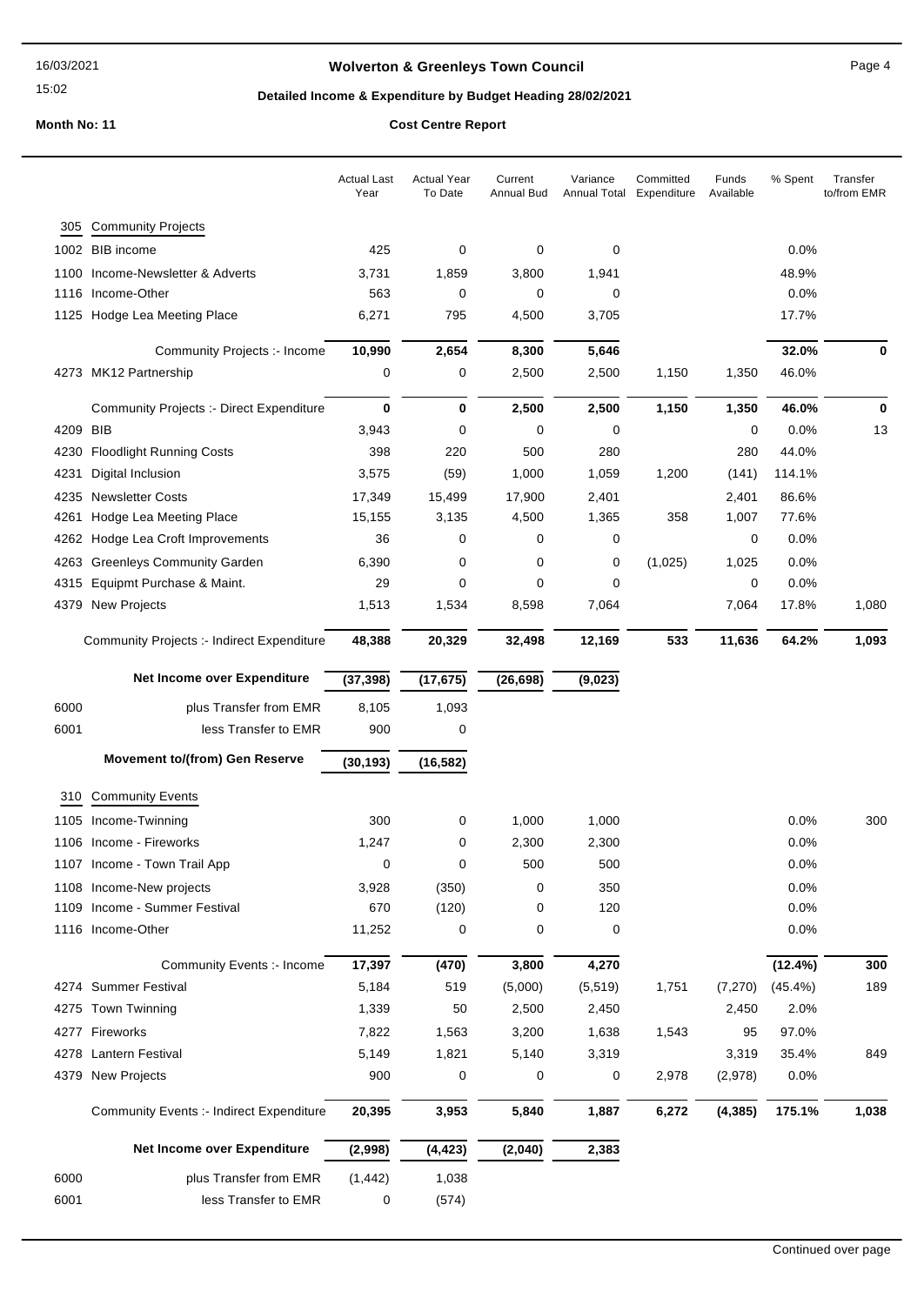## **Wolverton & Greenleys Town Council** Magnetic Page 4

## **Detailed Income & Expenditure by Budget Heading 28/02/2021**

|          |                                                 | <b>Actual Last</b><br>Year | <b>Actual Year</b><br>To Date | Current<br>Annual Bud | Variance<br>Annual Total | Committed<br>Expenditure | Funds<br>Available | % Spent    | Transfer<br>to/from EMR |
|----------|-------------------------------------------------|----------------------------|-------------------------------|-----------------------|--------------------------|--------------------------|--------------------|------------|-------------------------|
| 305      | <b>Community Projects</b>                       |                            |                               |                       |                          |                          |                    |            |                         |
|          | 1002 BIB income                                 | 425                        | 0                             | 0                     | 0                        |                          |                    | 0.0%       |                         |
|          | 1100 Income-Newsletter & Adverts                | 3,731                      | 1,859                         | 3,800                 | 1,941                    |                          |                    | 48.9%      |                         |
|          | 1116 Income-Other                               | 563                        | 0                             | 0                     | 0                        |                          |                    | 0.0%       |                         |
|          | 1125 Hodge Lea Meeting Place                    | 6,271                      | 795                           | 4,500                 | 3,705                    |                          |                    | 17.7%      |                         |
|          | Community Projects :- Income                    | 10,990                     | 2,654                         | 8,300                 | 5,646                    |                          |                    | 32.0%      | 0                       |
|          | 4273 MK12 Partnership                           | 0                          | 0                             | 2,500                 | 2,500                    | 1,150                    | 1,350              | 46.0%      |                         |
|          | <b>Community Projects :- Direct Expenditure</b> | 0                          | 0                             | 2,500                 | 2,500                    | 1,150                    | 1,350              | 46.0%      | 0                       |
| 4209 BIB |                                                 | 3,943                      | 0                             | 0                     | 0                        |                          | $\mathbf 0$        | 0.0%       | 13                      |
| 4230     | <b>Floodlight Running Costs</b>                 | 398                        | 220                           | 500                   | 280                      |                          | 280                | 44.0%      |                         |
| 4231     | Digital Inclusion                               | 3,575                      | (59)                          | 1,000                 | 1,059                    | 1,200                    | (141)              | 114.1%     |                         |
| 4235     | <b>Newsletter Costs</b>                         | 17,349                     | 15,499                        | 17,900                | 2,401                    |                          | 2,401              | 86.6%      |                         |
| 4261     | Hodge Lea Meeting Place                         | 15,155                     | 3,135                         | 4,500                 | 1,365                    | 358                      | 1,007              | 77.6%      |                         |
| 4262     | Hodge Lea Croft Improvements                    | 36                         | 0                             | 0                     | 0                        |                          | 0                  | 0.0%       |                         |
| 4263     | <b>Greenleys Community Garden</b>               | 6,390                      | 0                             | 0                     | 0                        | (1,025)                  | 1,025              | 0.0%       |                         |
| 4315     | Equipmt Purchase & Maint.                       | 29                         | 0                             | 0                     | 0                        |                          | 0                  | 0.0%       |                         |
|          | 4379 New Projects                               | 1,513                      | 1,534                         | 8,598                 | 7,064                    |                          | 7,064              | 17.8%      | 1,080                   |
|          | Community Projects :- Indirect Expenditure      | 48,388                     | 20,329                        | 32,498                | 12,169                   | 533                      | 11,636             | 64.2%      | 1,093                   |
|          | Net Income over Expenditure                     | (37, 398)                  | (17, 675)                     | (26, 698)             | (9,023)                  |                          |                    |            |                         |
| 6000     | plus Transfer from EMR                          | 8,105                      | 1,093                         |                       |                          |                          |                    |            |                         |
| 6001     | less Transfer to EMR                            | 900                        | 0                             |                       |                          |                          |                    |            |                         |
|          | <b>Movement to/(from) Gen Reserve</b>           | (30, 193)                  | (16, 582)                     |                       |                          |                          |                    |            |                         |
| 310      | <b>Community Events</b>                         |                            |                               |                       |                          |                          |                    |            |                         |
|          | 1105 Income-Twinning                            | 300                        | 0                             | 1,000                 | 1,000                    |                          |                    | 0.0%       | 300                     |
|          | 1106 Income - Fireworks                         | 1,247                      | 0                             | 2,300                 | 2,300                    |                          |                    | $0.0\%$    |                         |
|          | 1107 Income - Town Trail App                    | 0                          | 0                             | 500                   | 500                      |                          |                    | 0.0%       |                         |
|          | 1108 Income-New projects                        | 3,928                      | (350)                         | 0                     | 350                      |                          |                    | 0.0%       |                         |
|          | 1109 Income - Summer Festival                   | 670                        | (120)                         | 0                     | 120                      |                          |                    | 0.0%       |                         |
|          | 1116 Income-Other                               | 11,252                     | 0                             | 0                     | 0                        |                          |                    | 0.0%       |                         |
|          | Community Events :- Income                      | 17,397                     | (470)                         | 3,800                 | 4,270                    |                          |                    | (12.4%)    | 300                     |
|          | 4274 Summer Festival                            | 5,184                      | 519                           | (5,000)               | (5, 519)                 | 1,751                    | (7, 270)           | $(45.4\%)$ | 189                     |
|          | 4275 Town Twinning                              | 1,339                      | 50                            | 2,500                 | 2,450                    |                          | 2,450              | 2.0%       |                         |
|          | 4277 Fireworks                                  | 7,822                      | 1,563                         | 3,200                 | 1,638                    | 1,543                    | 95                 | 97.0%      |                         |
|          | 4278 Lantern Festival                           | 5,149                      | 1,821                         | 5,140                 | 3,319                    |                          | 3,319              | 35.4%      | 849                     |
|          | 4379 New Projects                               | 900                        | 0                             | 0                     | 0                        | 2,978                    | (2,978)            | 0.0%       |                         |
|          | <b>Community Events :- Indirect Expenditure</b> | 20,395                     | 3,953                         | 5,840                 | 1,887                    | 6,272                    | (4, 385)           | 175.1%     | 1,038                   |
|          | Net Income over Expenditure                     | (2,998)                    | (4, 423)                      | (2,040)               | 2,383                    |                          |                    |            |                         |
|          |                                                 |                            |                               |                       |                          |                          |                    |            |                         |
| 6000     | plus Transfer from EMR                          | (1, 442)                   | 1,038                         |                       |                          |                          |                    |            |                         |
| 6001     | less Transfer to EMR                            | 0                          | (574)                         |                       |                          |                          |                    |            |                         |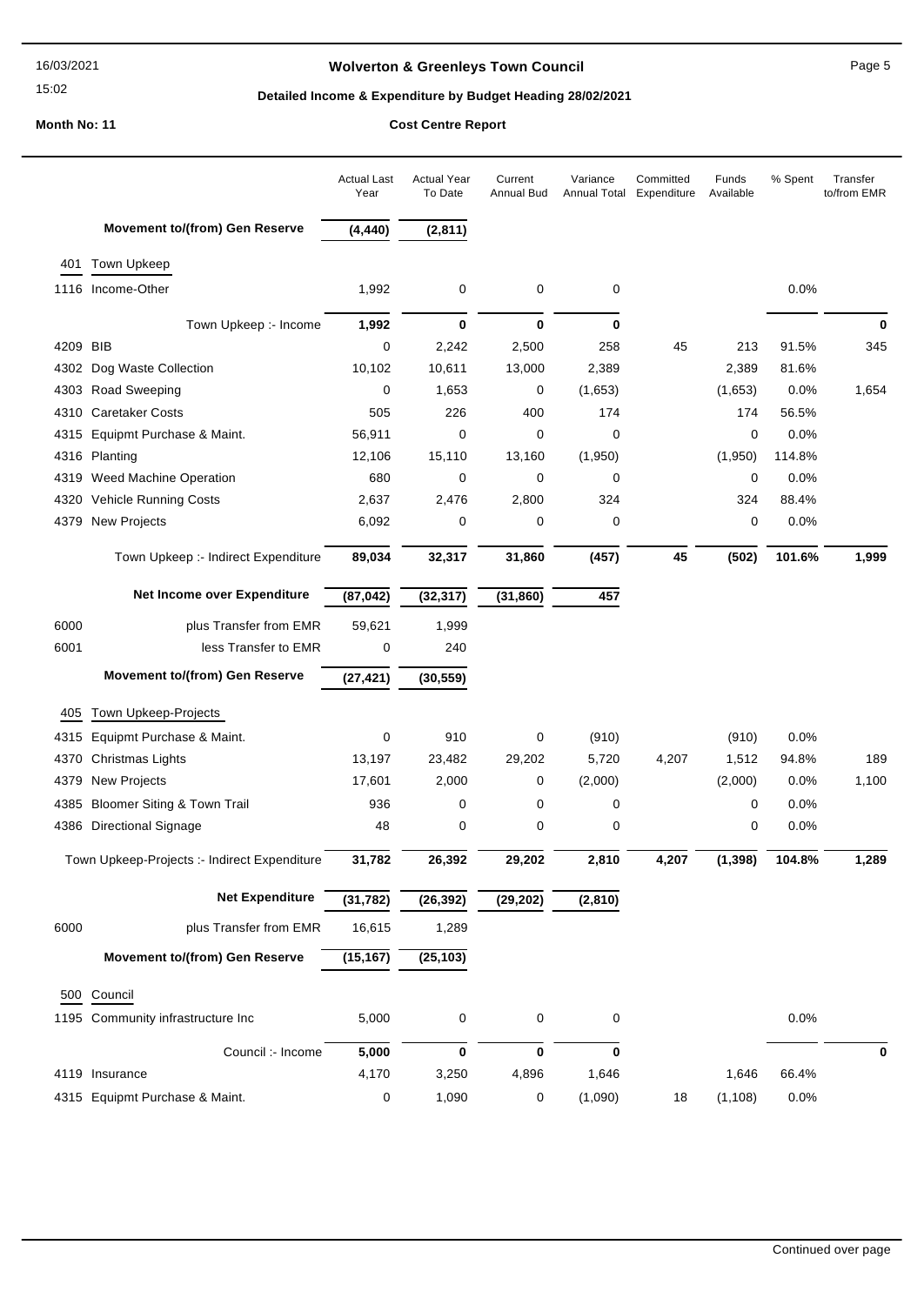## **Wolverton & Greenleys Town Council Page 5** Page 5

## **Detailed Income & Expenditure by Budget Heading 28/02/2021**

| <b>Movement to/(from) Gen Reserve</b><br>(4, 440)<br>(2,811)<br><b>Town Upkeep</b><br>401<br>0.0%<br>1116 Income-Other<br>1,992<br>0<br>0<br>0<br>0<br>$\bf{0}$<br>0<br>0<br>Town Upkeep :- Income<br>1,992<br>4209 BIB<br>0<br>2,242<br>2,500<br>258<br>45<br>213<br>91.5%<br>345<br>4302 Dog Waste Collection<br>10,102<br>10,611<br>13,000<br>2,389<br>2,389<br>81.6%<br>4303 Road Sweeping<br>1,653<br>(1,653)<br>1,654<br>0<br>0<br>(1,653)<br>$0.0\%$<br><b>Caretaker Costs</b><br>505<br>226<br>400<br>174<br>4310<br>174<br>56.5%<br>4315 Equipmt Purchase & Maint.<br>56,911<br>0<br>0<br>0<br>$\mathbf 0$<br>0.0%<br>(1,950)<br>4316 Planting<br>12,106<br>15,110<br>13,160<br>(1,950)<br>114.8%<br>680<br>0<br>0<br>0<br>4319 Weed Machine Operation<br>0<br>0.0%<br>4320 Vehicle Running Costs<br>2,637<br>2,476<br>2,800<br>324<br>324<br>88.4%<br>0<br>0.0%<br>6,092<br>0<br>0<br>0<br>4379 New Projects<br>32,317<br>31,860<br>(457)<br>45<br>Town Upkeep :- Indirect Expenditure<br>89,034<br>(502)<br>101.6%<br>Net Income over Expenditure<br>(87, 042)<br>(32, 317)<br>457<br>(31, 860)<br>1,999<br>6000<br>plus Transfer from EMR<br>59,621<br>6001<br>less Transfer to EMR<br>0<br>240<br>Movement to/(from) Gen Reserve<br>(27, 421)<br>(30, 559)<br>Town Upkeep-Projects<br>405<br>4315 Equipmt Purchase & Maint.<br>0<br>910<br>0<br>(910)<br>(910)<br>0.0%<br>13,197<br>23,482<br>29,202<br>5,720<br>4,207<br>1,512<br>94.8%<br>189<br>4370<br>Christmas Lights<br><b>New Projects</b><br>17,601<br>2,000<br>(2,000)<br>(2,000)<br>0.0%<br>1,100<br>4379<br>0<br>Bloomer Siting & Town Trail<br>936<br>0<br>0<br>0<br>0.0%<br>4385<br>0<br>4386 Directional Signage<br>48<br>0<br>0<br>0<br>0.0%<br>0<br>31,782<br>26,392<br>29,202<br>4,207<br>1,289<br>Town Upkeep-Projects :- Indirect Expenditure<br>2,810<br>(1, 398)<br>104.8%<br><b>Net Expenditure</b><br>(31, 782)<br>(26, 392)<br>(29, 202)<br>(2,810)<br>16,615<br>1,289<br>6000<br>plus Transfer from EMR<br>(25, 103)<br><b>Movement to/(from) Gen Reserve</b><br>(15, 167)<br>500 Council<br>0<br>1195 Community infrastructure Inc<br>5,000<br>$\mathbf 0$<br>0<br>0.0%<br>Council :- Income<br>5,000<br>0<br>$\bf{0}$<br>$\mathbf 0$<br>0<br>4119 Insurance |  | <b>Actual Last</b><br>Year | <b>Actual Year</b><br>To Date | Current<br><b>Annual Bud</b> | Variance<br>Annual Total | Committed<br>Expenditure | Funds<br>Available | % Spent | Transfer<br>to/from EMR |
|------------------------------------------------------------------------------------------------------------------------------------------------------------------------------------------------------------------------------------------------------------------------------------------------------------------------------------------------------------------------------------------------------------------------------------------------------------------------------------------------------------------------------------------------------------------------------------------------------------------------------------------------------------------------------------------------------------------------------------------------------------------------------------------------------------------------------------------------------------------------------------------------------------------------------------------------------------------------------------------------------------------------------------------------------------------------------------------------------------------------------------------------------------------------------------------------------------------------------------------------------------------------------------------------------------------------------------------------------------------------------------------------------------------------------------------------------------------------------------------------------------------------------------------------------------------------------------------------------------------------------------------------------------------------------------------------------------------------------------------------------------------------------------------------------------------------------------------------------------------------------------------------------------------------------------------------------------------------------------------------------------------------------------------------------------------------------------------------------------------------------------------------------------------------------------------------------------------------------------------------------|--|----------------------------|-------------------------------|------------------------------|--------------------------|--------------------------|--------------------|---------|-------------------------|
|                                                                                                                                                                                                                                                                                                                                                                                                                                                                                                                                                                                                                                                                                                                                                                                                                                                                                                                                                                                                                                                                                                                                                                                                                                                                                                                                                                                                                                                                                                                                                                                                                                                                                                                                                                                                                                                                                                                                                                                                                                                                                                                                                                                                                                                      |  |                            |                               |                              |                          |                          |                    |         |                         |
|                                                                                                                                                                                                                                                                                                                                                                                                                                                                                                                                                                                                                                                                                                                                                                                                                                                                                                                                                                                                                                                                                                                                                                                                                                                                                                                                                                                                                                                                                                                                                                                                                                                                                                                                                                                                                                                                                                                                                                                                                                                                                                                                                                                                                                                      |  |                            |                               |                              |                          |                          |                    |         |                         |
|                                                                                                                                                                                                                                                                                                                                                                                                                                                                                                                                                                                                                                                                                                                                                                                                                                                                                                                                                                                                                                                                                                                                                                                                                                                                                                                                                                                                                                                                                                                                                                                                                                                                                                                                                                                                                                                                                                                                                                                                                                                                                                                                                                                                                                                      |  |                            |                               |                              |                          |                          |                    |         |                         |
|                                                                                                                                                                                                                                                                                                                                                                                                                                                                                                                                                                                                                                                                                                                                                                                                                                                                                                                                                                                                                                                                                                                                                                                                                                                                                                                                                                                                                                                                                                                                                                                                                                                                                                                                                                                                                                                                                                                                                                                                                                                                                                                                                                                                                                                      |  |                            |                               |                              |                          |                          |                    |         |                         |
|                                                                                                                                                                                                                                                                                                                                                                                                                                                                                                                                                                                                                                                                                                                                                                                                                                                                                                                                                                                                                                                                                                                                                                                                                                                                                                                                                                                                                                                                                                                                                                                                                                                                                                                                                                                                                                                                                                                                                                                                                                                                                                                                                                                                                                                      |  |                            |                               |                              |                          |                          |                    |         |                         |
|                                                                                                                                                                                                                                                                                                                                                                                                                                                                                                                                                                                                                                                                                                                                                                                                                                                                                                                                                                                                                                                                                                                                                                                                                                                                                                                                                                                                                                                                                                                                                                                                                                                                                                                                                                                                                                                                                                                                                                                                                                                                                                                                                                                                                                                      |  |                            |                               |                              |                          |                          |                    |         |                         |
|                                                                                                                                                                                                                                                                                                                                                                                                                                                                                                                                                                                                                                                                                                                                                                                                                                                                                                                                                                                                                                                                                                                                                                                                                                                                                                                                                                                                                                                                                                                                                                                                                                                                                                                                                                                                                                                                                                                                                                                                                                                                                                                                                                                                                                                      |  |                            |                               |                              |                          |                          |                    |         |                         |
|                                                                                                                                                                                                                                                                                                                                                                                                                                                                                                                                                                                                                                                                                                                                                                                                                                                                                                                                                                                                                                                                                                                                                                                                                                                                                                                                                                                                                                                                                                                                                                                                                                                                                                                                                                                                                                                                                                                                                                                                                                                                                                                                                                                                                                                      |  |                            |                               |                              |                          |                          |                    |         |                         |
|                                                                                                                                                                                                                                                                                                                                                                                                                                                                                                                                                                                                                                                                                                                                                                                                                                                                                                                                                                                                                                                                                                                                                                                                                                                                                                                                                                                                                                                                                                                                                                                                                                                                                                                                                                                                                                                                                                                                                                                                                                                                                                                                                                                                                                                      |  |                            |                               |                              |                          |                          |                    |         |                         |
|                                                                                                                                                                                                                                                                                                                                                                                                                                                                                                                                                                                                                                                                                                                                                                                                                                                                                                                                                                                                                                                                                                                                                                                                                                                                                                                                                                                                                                                                                                                                                                                                                                                                                                                                                                                                                                                                                                                                                                                                                                                                                                                                                                                                                                                      |  |                            |                               |                              |                          |                          |                    |         |                         |
|                                                                                                                                                                                                                                                                                                                                                                                                                                                                                                                                                                                                                                                                                                                                                                                                                                                                                                                                                                                                                                                                                                                                                                                                                                                                                                                                                                                                                                                                                                                                                                                                                                                                                                                                                                                                                                                                                                                                                                                                                                                                                                                                                                                                                                                      |  |                            |                               |                              |                          |                          |                    |         |                         |
|                                                                                                                                                                                                                                                                                                                                                                                                                                                                                                                                                                                                                                                                                                                                                                                                                                                                                                                                                                                                                                                                                                                                                                                                                                                                                                                                                                                                                                                                                                                                                                                                                                                                                                                                                                                                                                                                                                                                                                                                                                                                                                                                                                                                                                                      |  |                            |                               |                              |                          |                          |                    |         |                         |
|                                                                                                                                                                                                                                                                                                                                                                                                                                                                                                                                                                                                                                                                                                                                                                                                                                                                                                                                                                                                                                                                                                                                                                                                                                                                                                                                                                                                                                                                                                                                                                                                                                                                                                                                                                                                                                                                                                                                                                                                                                                                                                                                                                                                                                                      |  |                            |                               |                              |                          |                          |                    |         |                         |
|                                                                                                                                                                                                                                                                                                                                                                                                                                                                                                                                                                                                                                                                                                                                                                                                                                                                                                                                                                                                                                                                                                                                                                                                                                                                                                                                                                                                                                                                                                                                                                                                                                                                                                                                                                                                                                                                                                                                                                                                                                                                                                                                                                                                                                                      |  |                            |                               |                              |                          |                          |                    |         | 1,999                   |
|                                                                                                                                                                                                                                                                                                                                                                                                                                                                                                                                                                                                                                                                                                                                                                                                                                                                                                                                                                                                                                                                                                                                                                                                                                                                                                                                                                                                                                                                                                                                                                                                                                                                                                                                                                                                                                                                                                                                                                                                                                                                                                                                                                                                                                                      |  |                            |                               |                              |                          |                          |                    |         |                         |
|                                                                                                                                                                                                                                                                                                                                                                                                                                                                                                                                                                                                                                                                                                                                                                                                                                                                                                                                                                                                                                                                                                                                                                                                                                                                                                                                                                                                                                                                                                                                                                                                                                                                                                                                                                                                                                                                                                                                                                                                                                                                                                                                                                                                                                                      |  |                            |                               |                              |                          |                          |                    |         |                         |
|                                                                                                                                                                                                                                                                                                                                                                                                                                                                                                                                                                                                                                                                                                                                                                                                                                                                                                                                                                                                                                                                                                                                                                                                                                                                                                                                                                                                                                                                                                                                                                                                                                                                                                                                                                                                                                                                                                                                                                                                                                                                                                                                                                                                                                                      |  |                            |                               |                              |                          |                          |                    |         |                         |
|                                                                                                                                                                                                                                                                                                                                                                                                                                                                                                                                                                                                                                                                                                                                                                                                                                                                                                                                                                                                                                                                                                                                                                                                                                                                                                                                                                                                                                                                                                                                                                                                                                                                                                                                                                                                                                                                                                                                                                                                                                                                                                                                                                                                                                                      |  |                            |                               |                              |                          |                          |                    |         |                         |
|                                                                                                                                                                                                                                                                                                                                                                                                                                                                                                                                                                                                                                                                                                                                                                                                                                                                                                                                                                                                                                                                                                                                                                                                                                                                                                                                                                                                                                                                                                                                                                                                                                                                                                                                                                                                                                                                                                                                                                                                                                                                                                                                                                                                                                                      |  |                            |                               |                              |                          |                          |                    |         |                         |
|                                                                                                                                                                                                                                                                                                                                                                                                                                                                                                                                                                                                                                                                                                                                                                                                                                                                                                                                                                                                                                                                                                                                                                                                                                                                                                                                                                                                                                                                                                                                                                                                                                                                                                                                                                                                                                                                                                                                                                                                                                                                                                                                                                                                                                                      |  |                            |                               |                              |                          |                          |                    |         |                         |
|                                                                                                                                                                                                                                                                                                                                                                                                                                                                                                                                                                                                                                                                                                                                                                                                                                                                                                                                                                                                                                                                                                                                                                                                                                                                                                                                                                                                                                                                                                                                                                                                                                                                                                                                                                                                                                                                                                                                                                                                                                                                                                                                                                                                                                                      |  |                            |                               |                              |                          |                          |                    |         |                         |
|                                                                                                                                                                                                                                                                                                                                                                                                                                                                                                                                                                                                                                                                                                                                                                                                                                                                                                                                                                                                                                                                                                                                                                                                                                                                                                                                                                                                                                                                                                                                                                                                                                                                                                                                                                                                                                                                                                                                                                                                                                                                                                                                                                                                                                                      |  |                            |                               |                              |                          |                          |                    |         |                         |
|                                                                                                                                                                                                                                                                                                                                                                                                                                                                                                                                                                                                                                                                                                                                                                                                                                                                                                                                                                                                                                                                                                                                                                                                                                                                                                                                                                                                                                                                                                                                                                                                                                                                                                                                                                                                                                                                                                                                                                                                                                                                                                                                                                                                                                                      |  |                            |                               |                              |                          |                          |                    |         |                         |
|                                                                                                                                                                                                                                                                                                                                                                                                                                                                                                                                                                                                                                                                                                                                                                                                                                                                                                                                                                                                                                                                                                                                                                                                                                                                                                                                                                                                                                                                                                                                                                                                                                                                                                                                                                                                                                                                                                                                                                                                                                                                                                                                                                                                                                                      |  |                            |                               |                              |                          |                          |                    |         |                         |
|                                                                                                                                                                                                                                                                                                                                                                                                                                                                                                                                                                                                                                                                                                                                                                                                                                                                                                                                                                                                                                                                                                                                                                                                                                                                                                                                                                                                                                                                                                                                                                                                                                                                                                                                                                                                                                                                                                                                                                                                                                                                                                                                                                                                                                                      |  |                            |                               |                              |                          |                          |                    |         |                         |
|                                                                                                                                                                                                                                                                                                                                                                                                                                                                                                                                                                                                                                                                                                                                                                                                                                                                                                                                                                                                                                                                                                                                                                                                                                                                                                                                                                                                                                                                                                                                                                                                                                                                                                                                                                                                                                                                                                                                                                                                                                                                                                                                                                                                                                                      |  |                            |                               |                              |                          |                          |                    |         |                         |
|                                                                                                                                                                                                                                                                                                                                                                                                                                                                                                                                                                                                                                                                                                                                                                                                                                                                                                                                                                                                                                                                                                                                                                                                                                                                                                                                                                                                                                                                                                                                                                                                                                                                                                                                                                                                                                                                                                                                                                                                                                                                                                                                                                                                                                                      |  |                            |                               |                              |                          |                          |                    |         |                         |
|                                                                                                                                                                                                                                                                                                                                                                                                                                                                                                                                                                                                                                                                                                                                                                                                                                                                                                                                                                                                                                                                                                                                                                                                                                                                                                                                                                                                                                                                                                                                                                                                                                                                                                                                                                                                                                                                                                                                                                                                                                                                                                                                                                                                                                                      |  |                            |                               |                              |                          |                          |                    |         |                         |
|                                                                                                                                                                                                                                                                                                                                                                                                                                                                                                                                                                                                                                                                                                                                                                                                                                                                                                                                                                                                                                                                                                                                                                                                                                                                                                                                                                                                                                                                                                                                                                                                                                                                                                                                                                                                                                                                                                                                                                                                                                                                                                                                                                                                                                                      |  |                            |                               |                              |                          |                          |                    |         |                         |
|                                                                                                                                                                                                                                                                                                                                                                                                                                                                                                                                                                                                                                                                                                                                                                                                                                                                                                                                                                                                                                                                                                                                                                                                                                                                                                                                                                                                                                                                                                                                                                                                                                                                                                                                                                                                                                                                                                                                                                                                                                                                                                                                                                                                                                                      |  |                            |                               |                              |                          |                          |                    |         |                         |
|                                                                                                                                                                                                                                                                                                                                                                                                                                                                                                                                                                                                                                                                                                                                                                                                                                                                                                                                                                                                                                                                                                                                                                                                                                                                                                                                                                                                                                                                                                                                                                                                                                                                                                                                                                                                                                                                                                                                                                                                                                                                                                                                                                                                                                                      |  |                            |                               |                              |                          |                          |                    |         |                         |
|                                                                                                                                                                                                                                                                                                                                                                                                                                                                                                                                                                                                                                                                                                                                                                                                                                                                                                                                                                                                                                                                                                                                                                                                                                                                                                                                                                                                                                                                                                                                                                                                                                                                                                                                                                                                                                                                                                                                                                                                                                                                                                                                                                                                                                                      |  |                            |                               |                              |                          |                          |                    |         |                         |
|                                                                                                                                                                                                                                                                                                                                                                                                                                                                                                                                                                                                                                                                                                                                                                                                                                                                                                                                                                                                                                                                                                                                                                                                                                                                                                                                                                                                                                                                                                                                                                                                                                                                                                                                                                                                                                                                                                                                                                                                                                                                                                                                                                                                                                                      |  | 4,170                      | 3,250                         | 4,896                        | 1,646                    |                          | 1,646              | 66.4%   |                         |
| 1,090<br>4315 Equipmt Purchase & Maint.<br>0<br>0<br>(1,090)<br>18<br>(1, 108)<br>0.0%                                                                                                                                                                                                                                                                                                                                                                                                                                                                                                                                                                                                                                                                                                                                                                                                                                                                                                                                                                                                                                                                                                                                                                                                                                                                                                                                                                                                                                                                                                                                                                                                                                                                                                                                                                                                                                                                                                                                                                                                                                                                                                                                                               |  |                            |                               |                              |                          |                          |                    |         |                         |